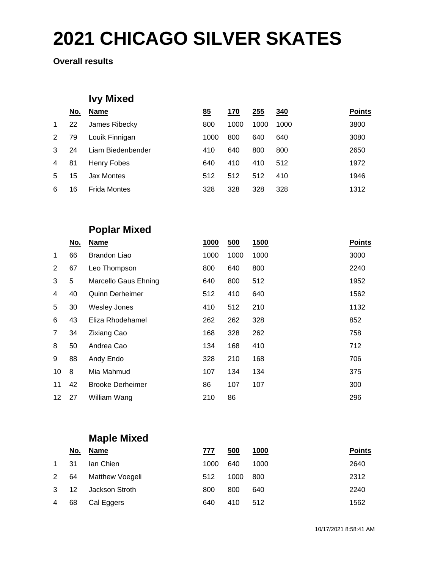**Overall results**

## **Ivy Mixed**

| No. | <b>Name</b>         | 85   | 170  | 255  | 340  | <b>Points</b> |
|-----|---------------------|------|------|------|------|---------------|
| 22  | James Ribecky       | 800  | 1000 | 1000 | 1000 | 3800          |
| 79  | Louik Finnigan      | 1000 | 800  | 640  | 640  | 3080          |
| 24  | Liam Biedenbender   | 410  | 640  | 800  | 800  | 2650          |
| 81  | Henry Fobes         | 640  | 410  | 410  | 512  | 1972          |
| 15  | Jax Montes          | 512  | 512  | 512  | 410  | 1946          |
| 16  | <b>Frida Montes</b> | 328  | 328  | 328  | 328  | 1312          |
|     |                     |      |      |      |      |               |

### **Poplar Mixed**

|                | No. | <b>Name</b>             | 1000 | 500  | 1500 | <b>Points</b> |
|----------------|-----|-------------------------|------|------|------|---------------|
| $\mathbf{1}$   | 66  | Brandon Liao            | 1000 | 1000 | 1000 | 3000          |
| 2              | 67  | Leo Thompson            | 800  | 640  | 800  | 2240          |
| 3              | 5   | Marcello Gaus Ehning    | 640  | 800  | 512  | 1952          |
| 4              | 40  | <b>Quinn Derheimer</b>  | 512  | 410  | 640  | 1562          |
| 5              | 30  | <b>Wesley Jones</b>     | 410  | 512  | 210  | 1132          |
| 6              | 43  | Eliza Rhodehamel        | 262  | 262  | 328  | 852           |
| $\overline{7}$ | 34  | <b>Zixiang Cao</b>      | 168  | 328  | 262  | 758           |
| 8              | 50  | Andrea Cao              | 134  | 168  | 410  | 712           |
| 9              | 88  | Andy Endo               | 328  | 210  | 168  | 706           |
| 10             | 8   | Mia Mahmud              | 107  | 134  | 134  | 375           |
| 11             | 42  | <b>Brooke Derheimer</b> | 86   | 107  | 107  | 300           |
| 12             | 27  | William Wang            | 210  | 86   |      | 296           |

## **Maple Mixed**

|              | <u>No.</u> | <u>Name</u>     | 777  | <u>500</u> | <u>1000</u> | <b>Points</b> |
|--------------|------------|-----------------|------|------------|-------------|---------------|
| $\mathbf{1}$ | -31        | Ian Chien       | 1000 | 640        | 1000        | 2640          |
| 2            | 64         | Matthew Voegeli | 512  | 1000       | 800         | 2312          |
| $3^{\circ}$  | -12        | Jackson Stroth  | 800  | 800        | 640         | 2240          |
| 4            | 68         | Cal Eggers      | 640  | 410        | 512         | 1562          |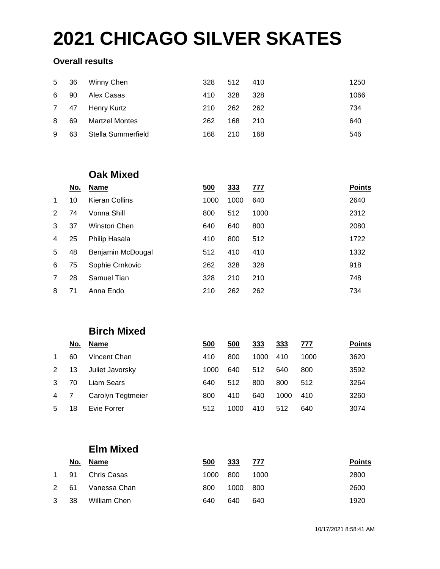#### **Overall results**

| 5 | 36  | Winny Chen            | 328 | 512 | 410  | 1250 |
|---|-----|-----------------------|-----|-----|------|------|
| 6 | 90  | Alex Casas            | 410 | 328 | -328 | 1066 |
| 7 | -47 | Henry Kurtz           | 210 | 262 | 262  | 734  |
| 8 | 69  | <b>Martzel Montes</b> | 262 | 168 | 210  | 640  |
| 9 | 63  | Stella Summerfield    | 168 | 210 | 168  | 546  |

#### **Oak Mixed**

|                | No. | <b>Name</b>       | 500  | <u>333</u> | <u>777</u> | <b>Points</b> |
|----------------|-----|-------------------|------|------------|------------|---------------|
| $\mathbf{1}$   | 10  | Kieran Collins    | 1000 | 1000       | 640        | 2640          |
| 2              | 74  | Vonna Shill       | 800  | 512        | 1000       | 2312          |
| 3              | 37  | Winston Chen      | 640  | 640        | 800        | 2080          |
| $\overline{4}$ | 25  | Philip Hasala     | 410  | 800        | 512        | 1722          |
| 5              | 48  | Benjamin McDougal | 512  | 410        | 410        | 1332          |
| 6              | 75  | Sophie Crnkovic   | 262  | 328        | 328        | 918           |
| 7              | 28  | Samuel Tian       | 328  | 210        | 210        | 748           |
| 8              | 71  | Anna Endo         | 210  | 262        | 262        | 734           |

### **Birch Mixed**

|             | No. | <b>Name</b>       | 500  | 500  | 333  | 333  | 777  | <b>Points</b> |
|-------------|-----|-------------------|------|------|------|------|------|---------------|
| $\mathbf 1$ | 60  | Vincent Chan      | 410  | 800  | 1000 | 410  | 1000 | 3620          |
| 2           | 13  | Juliet Javorsky   | 1000 | 640  | 512  | 640  | 800  | 3592          |
| 3           | 70  | Liam Sears        | 640  | 512  | 800  | 800  | 512  | 3264          |
| 4           |     | Carolyn Tegtmeier | 800  | 410  | 640  | 1000 | 410  | 3260          |
| 5           | 18  | Evie Forrer       | 512  | 1000 | 410  | 512  | 640  | 3074          |

### **Elm Mixed**

|                   | <u>No.</u> | Name             | 500  | 333  | 777   | <b>Points</b> |
|-------------------|------------|------------------|------|------|-------|---------------|
|                   |            | 1 91 Chris Casas | 1000 | 800  | 1000  | 2800          |
|                   | 2 61       | Vanessa Chan     | 800  | 1000 | - 800 | 2600          |
| $3 \overline{38}$ |            | William Chen     | 640  | 640  | 640   | 1920          |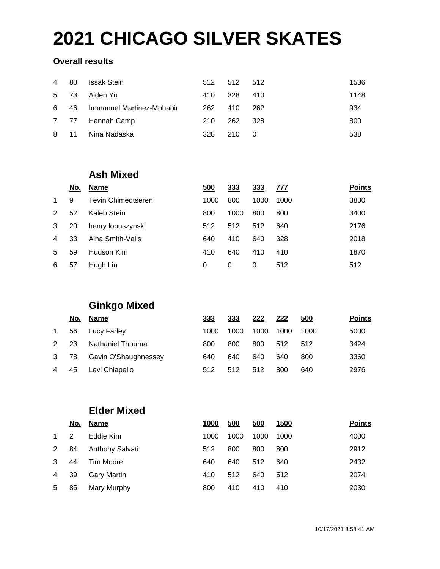#### **Overall results**

| $\overline{4}$ | 80 | <b>Issak Stein</b>        | 512 | 512 512 |       | 1536 |
|----------------|----|---------------------------|-----|---------|-------|------|
| 5 73           |    | Aiden Yu                  | 410 | -328    | 410   | 1148 |
| 6              | 46 | Immanuel Martinez-Mohabir | 262 | 410     | -262  | 934  |
|                |    | 7 77 Hannah Camp          | 210 | 262     | - 328 | 800  |
| 8 11           |    | Nina Nadaska              | 328 | 210     | - 0   | 538  |

#### **Ash Mixed**

|               | No. | <b>Name</b>        | 500  | 333  | 333  | 777  | <b>Points</b> |
|---------------|-----|--------------------|------|------|------|------|---------------|
| $\mathbf 1$   | 9   | Tevin Chimedtseren | 1000 | 800  | 1000 | 1000 | 3800          |
| $\mathcal{P}$ | 52  | Kaleb Stein        | 800  | 1000 | 800  | 800  | 3400          |
| 3             | 20  | henry lopuszynski  | 512  | 512  | 512  | 640  | 2176          |
| 4             | 33  | Aina Smith-Valls   | 640  | 410  | 640  | 328  | 2018          |
| -5            | 59  | Hudson Kim         | 410  | 640  | 410  | 410  | 1870          |
| 6             | 57  | Hugh Lin           | 0    | 0    | 0    | 512  | 512           |

### **Ginkgo Mixed**

|   | No. | <b>Name</b>          | 333  | 333  | 222  | 222  | 500  | <b>Points</b> |
|---|-----|----------------------|------|------|------|------|------|---------------|
| 1 | 56  | Lucy Farley          | 1000 | 1000 | 1000 | 1000 | 1000 | 5000          |
| 2 | 23  | Nathaniel Thouma     | 800  | 800  | 800  | 512  | 512  | 3424          |
| 3 | 78  | Gavin O'Shaughnessey | 640  | 640  | 640  | 640  | 800  | 3360          |
| 4 | 45  | Levi Chiapello       | 512  | 512  | 512  | 800  | 640  | 2976          |

#### **Elder Mixed**

|              | No. | Name                   | 1000 | 500  | 500  | 1500 | <b>Points</b> |
|--------------|-----|------------------------|------|------|------|------|---------------|
| $\mathbf{1}$ | 2   | Eddie Kim              | 1000 | 1000 | 1000 | 1000 | 4000          |
| 2            | 84  | <b>Anthony Salvati</b> | 512  | 800  | 800  | 800  | 2912          |
| 3            | 44  | <b>Tim Moore</b>       | 640  | 640  | 512  | 640  | 2432          |
| 4            | 39  | Gary Martin            | 410  | 512  | 640  | 512  | 2074          |
| 5            | 85  | Mary Murphy            | 800  | 410  | 410  | 410  | 2030          |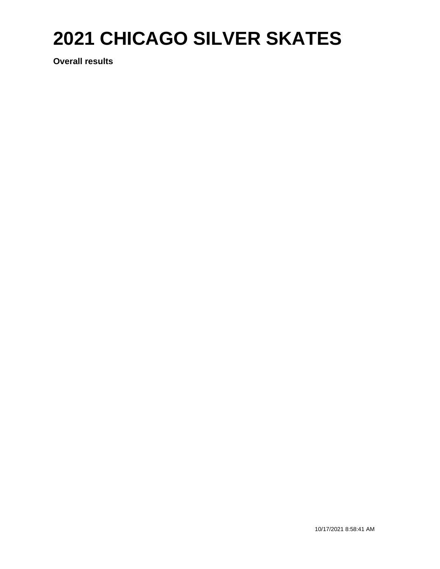**Overall results**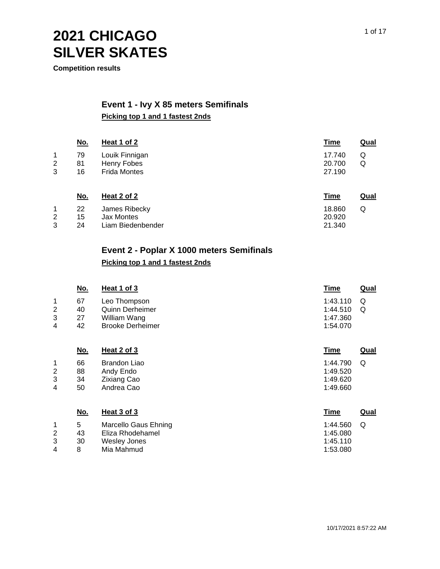**Competition results**

#### **Event 1 - Ivy X 85 meters Semifinals Picking top 1 and 1 fastest 2nds**

|                | <u>No.</u> | <b>Heat 1 of 2</b>  | <b>Time</b> | <u>Qual</u> |
|----------------|------------|---------------------|-------------|-------------|
| 1              | 79         | Louik Finnigan      | 17.740      | Q           |
| $\overline{2}$ | 81         | Henry Fobes         | 20.700      | Q           |
| 3              | 16         | <b>Frida Montes</b> | 27.190      |             |
|                | <u>No.</u> | Heat 2 of 2         | <b>Time</b> | <b>Qual</b> |
| 1              | 22         | James Ribecky       | 18.860      | Q           |
| 2              | 15         | <b>Jax Montes</b>   | 20.920      |             |
| 3              | 24         | Liam Biedenbender   | 21.340      |             |

#### **Event 2 - Poplar X 1000 meters Semifinals**

#### **Picking top 1 and 1 fastest 2nds**

|                               | <u>No.</u>           | Heat 1 of 3                                                                       | <b>Time</b>                                  | <b>Qual</b> |
|-------------------------------|----------------------|-----------------------------------------------------------------------------------|----------------------------------------------|-------------|
| 1<br>$\overline{2}$<br>3<br>4 | 67<br>40<br>27<br>42 | Leo Thompson<br><b>Quinn Derheimer</b><br>William Wang<br><b>Brooke Derheimer</b> | 1:43.110<br>1:44.510<br>1:47.360<br>1:54.070 | Q<br>Q      |
|                               | <u>No.</u>           | Heat 2 of 3                                                                       | <b>Time</b>                                  | <b>Qual</b> |
| 1<br>2<br>3<br>4              | 66<br>88<br>34<br>50 | Brandon Liao<br>Andy Endo<br><b>Zixiang Cao</b><br>Andrea Cao                     | 1:44.790<br>1:49.520<br>1:49.620<br>1:49.660 | Q           |
|                               | <u>No.</u>           | Heat 3 of 3                                                                       | <b>Time</b>                                  | <b>Qual</b> |
| 1<br>2<br>3<br>4              | 5<br>43<br>30<br>8   | Marcello Gaus Ehning<br>Eliza Rhodehamel<br><b>Wesley Jones</b><br>Mia Mahmud     | 1:44.560<br>1:45.080<br>1:45.110<br>1:53.080 | Q           |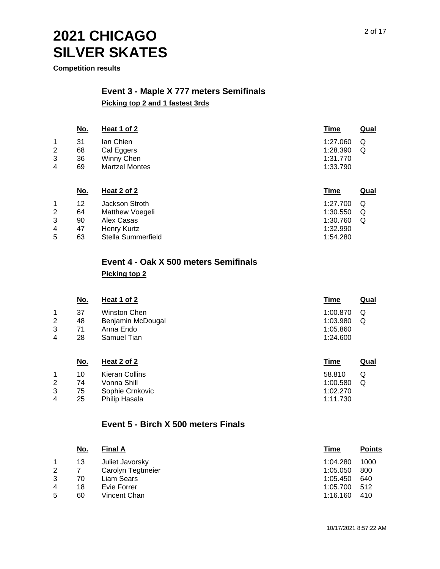**Competition results**

#### **Event 3 - Maple X 777 meters Semifinals Picking top 2 and 1 fastest 3rds**

|   | <u>No.</u> | Heat 1 of 2           | <u>Time</u> | <u>Qual</u> |
|---|------------|-----------------------|-------------|-------------|
| 1 | 31         | lan Chien             | 1:27.060    | Q           |
| 2 | 68         | Cal Eggers            | 1:28.390    | Q           |
| 3 | 36         | Winny Chen            | 1:31.770    |             |
| 4 | 69         | <b>Martzel Montes</b> | 1:33.790    |             |
|   | N٥         | Heat $2$ of $2$       | Time        | Qual        |

|   | IVV. | neal 2 01 2        | <u>Line</u> | Qual |
|---|------|--------------------|-------------|------|
|   | 12   | Jackson Stroth     | 1:27.700    | Q    |
| 2 | 64   | Matthew Voegeli    | 1:30.550    | Q    |
| 3 | 90   | Alex Casas         | 1:30.760    | Q    |
| 4 | 47   | Henry Kurtz        | 1:32.990    |      |
| 5 | 63   | Stella Summerfield | 1:54.280    |      |

# **Event 4 - Oak X 500 meters Semifinals**

**Picking top 2**

|                | <u>No.</u> | Heat 1 of 2       | Time     | <u>Qual</u> |
|----------------|------------|-------------------|----------|-------------|
|                | 37         | Winston Chen      | 1:00.870 | Q           |
| $\overline{2}$ | 48         | Benjamin McDougal | 1:03.980 | Q           |
| 3              | 71         | Anna Endo         | 1:05.860 |             |
| 4              | 28         | Samuel Tian       | 1:24.600 |             |
|                |            |                   |          |             |

|                | <u>No.</u> | Heat 2 of 2     | Time     | <u>Qual</u> |
|----------------|------------|-----------------|----------|-------------|
|                | 10         | Kieran Collins  | 58.810   |             |
| 2              | 74         | Vonna Shill     | 1:00.580 |             |
| 3              | 75         | Sophie Crnkovic | 1:02.270 |             |
| $\overline{4}$ | 25         | Philip Hasala   | 1:11.730 |             |

#### **Event 5 - Birch X 500 meters Finals**

| <u>No.</u> | <b>Final A</b>    | Time     | <b>Points</b> |
|------------|-------------------|----------|---------------|
| 13         | Juliet Javorsky   | 1:04.280 | 1000          |
|            | Carolyn Tegtmeier | 1:05.050 | 800           |
| 70         | Liam Sears        | 1:05.450 | 640           |
| 18         | Evie Forrer       | 1:05.700 | 512           |
| 60         | Vincent Chan      | 1:16.160 | 410           |
|            |                   |          |               |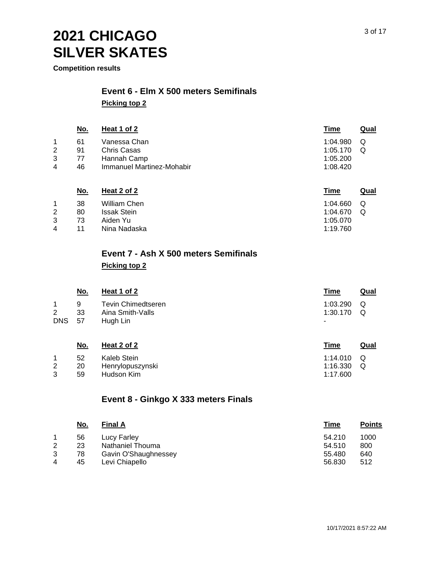**Competition results**

## **Event 6 - Elm X 500 meters Semifinals**

**Picking top 2**

|   | <u>No.</u> | Heat 1 of 2               | Time     | Qual |
|---|------------|---------------------------|----------|------|
|   | 61         | Vanessa Chan              | 1:04.980 | Q    |
| 2 | 91         | <b>Chris Casas</b>        | 1:05.170 | O    |
| 3 | 77         | Hannah Camp               | 1:05.200 |      |
| 4 | 46         | Immanuel Martinez-Mohabir | 1:08.420 |      |
|   |            |                           |          |      |

|                | <u>No.</u> | Heat 2 of 2        | Time     | Qual |
|----------------|------------|--------------------|----------|------|
|                | 38         | William Chen       | 1:04.660 | O    |
| 2              | 80         | <b>Issak Stein</b> | 1:04.670 | O    |
| 3              | 73         | Aiden Yu           | 1:05.070 |      |
| $\overline{4}$ | 11         | Nina Nadaska       | 1:19.760 |      |

# **Event 7 - Ash X 500 meters Semifinals**

**Picking top 2**

|                              | No.           | Heat 1 of 2                                        | Time                      | Qual   |
|------------------------------|---------------|----------------------------------------------------|---------------------------|--------|
| $\overline{2}$<br><b>DNS</b> | 9<br>33<br>57 | Tevin Chimedtseren<br>Aina Smith-Valls<br>Hugh Lin | 1:03.290<br>1:30.170<br>٠ | Q<br>Q |
|                              | N۵            | Heat $2$ of $2$                                    | Time                      | Qual   |

|   | <u></u> | 11991 E 91E      |              | $-$ |
|---|---------|------------------|--------------|-----|
|   | 52      | Kaleb Stein      | 1:14.010 $Q$ |     |
| 2 | 20      | Henrylopuszynski | $1:16.330$ Q |     |
| 3 | 59      | Hudson Kim       | 1:17.600     |     |
|   |         |                  |              |     |

#### **Event 8 - Ginkgo X 333 meters Finals**

|                | <u>No.</u> | <b>Final A</b>       | Time   | <b>Points</b> |
|----------------|------------|----------------------|--------|---------------|
|                | 56         | Lucy Farley          | 54.210 | 1000          |
| $\overline{2}$ | 23         | Nathaniel Thouma     | 54.510 | 800           |
| 3              | 78         | Gavin O'Shaughnessey | 55.480 | 640           |
| 4              | 45         | Levi Chiapello       | 56.830 | 512           |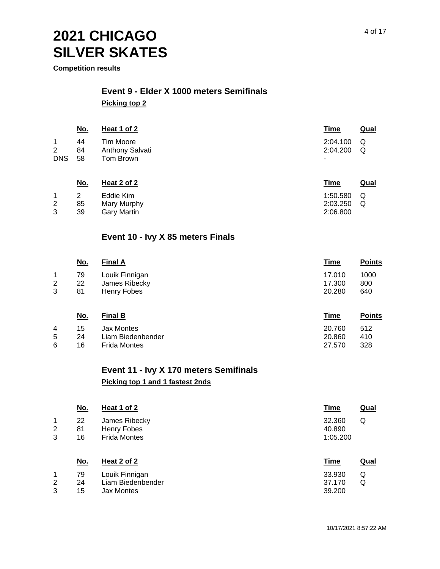**Competition results**

#### **Event 9 - Elder X 1000 meters Semifinals Picking top 2**

|                                   | <u>No.</u>     | Heat 1 of 2                               | <u>Time</u>               | <u>Qual</u> |
|-----------------------------------|----------------|-------------------------------------------|---------------------------|-------------|
| 1<br>$\overline{2}$<br><b>DNS</b> | 44<br>84<br>58 | Tim Moore<br>Anthony Salvati<br>Tom Brown | 2:04.100<br>2:04.200<br>٠ | Q<br>Q      |
|                                   | No.            | Heat 2 of 2                               | Time                      | Qual        |

|   |    | Eddie Kim   | $1:50.580$ Q |  |
|---|----|-------------|--------------|--|
| 2 | 85 | Mary Murphy | $2:03.250$ Q |  |
|   | 39 | Garv Martin | 2:06.800     |  |

#### **Event 10 - Ivy X 85 meters Finals**

|              | <u>No.</u> | <b>Final A</b> | <u>Time</u> | <b>Points</b> |
|--------------|------------|----------------|-------------|---------------|
| 1            | 79         | Louik Finnigan | 17.010      | 1000          |
| $\mathbf{2}$ | 22         | James Ribecky  | 17.300      | 800           |
| 3            | 81         | Henry Fobes    | 20.280      | 640           |
|              |            |                |             |               |

| <u>No.</u> | <b>Final B</b>    | Time   | <b>Points</b> |
|------------|-------------------|--------|---------------|
| 15         | Jax Montes        | 20.760 | 512           |
| 24         | Liam Biedenbender | 20.860 | 410           |
| 16.        | Frida Montes      | 27.570 | 328           |
|            |                   |        |               |

## **Event 11 - Ivy X 170 meters Semifinals**

#### **Picking top 1 and 1 fastest 2nds**

|             | <u>No.</u>     | Heat 1 of 2                                         | <b>Time</b><br><b>Qual</b>        |  |
|-------------|----------------|-----------------------------------------------------|-----------------------------------|--|
| 1<br>2<br>3 | 22<br>81<br>16 | James Ribecky<br>Henry Fobes<br><b>Frida Montes</b> | 32.360<br>Q<br>40.890<br>1:05.200 |  |
|             | <u>No.</u>     | Heat 2 of 2                                         | <b>Time</b><br><b>Qual</b>        |  |
| 1           | 79             | Louik Finnigan                                      | 33.930<br>Q                       |  |
| 2           | 24             | Liam Biedenbender                                   | 37.170<br>Q                       |  |
| 3           | 15             | <b>Jax Montes</b>                                   | 39.200                            |  |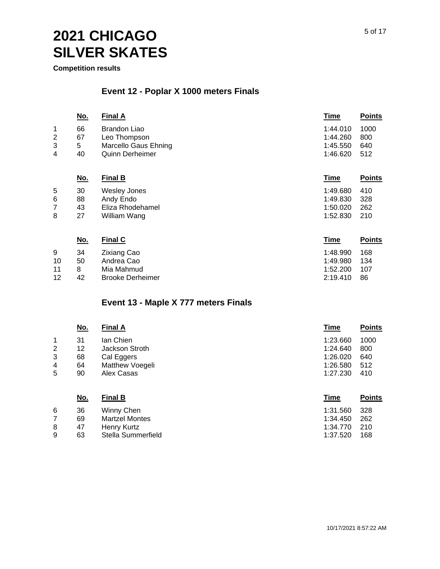**Competition results**

8 9 47

63 Stella Summerfield

Henry Kurtz

### **Event 12 - Poplar X 1000 meters Finals**

|   | <u>No.</u> | <b>Final A</b>              | <b>Time</b> | <b>Points</b> |
|---|------------|-----------------------------|-------------|---------------|
| 1 | 66         | <b>Brandon Liao</b>         | 1:44.010    | 1000          |
| 2 | 67         | Leo Thompson                | 1:44.260    | 800           |
| 3 | 5          | <b>Marcello Gaus Ehning</b> | 1:45.550    | 640           |
| 4 | 40         | <b>Quinn Derheimer</b>      | 1:46.620    | 512           |
|   | <u>No.</u> | <b>Final B</b>              | <b>Time</b> | <b>Points</b> |
| 5 | 30         | <b>Wesley Jones</b>         | 1:49.680    | 410           |
| 6 | 88         | Andy Endo                   | 1:49.830    | 328           |
|   | 43         | Eliza Rhodehamel            | 1:50.020    | 262           |
| 7 |            |                             |             |               |
| 8 | 27         | William Wang                | 1:52.830    | 210           |
|   |            |                             |             |               |

|    | <u>No.</u> | <b>Final C</b>          | Time     | <b>Points</b> |
|----|------------|-------------------------|----------|---------------|
| 9  | 34         | <b>Zixiang Cao</b>      | 1:48.990 | 168           |
| 10 | 50         | Andrea Cao              | 1:49.980 | 134           |
| 11 |            | Mia Mahmud              | 1:52.200 | 107           |
| 12 | 42         | <b>Brooke Derheimer</b> | 2:19.410 | 86            |

#### **Event 13 - Maple X 777 meters Finals**

|   | <u>No.</u> | <b>Final A</b>        | <b>Time</b> | <b>Points</b> |
|---|------------|-----------------------|-------------|---------------|
| 1 | 31         | lan Chien             | 1:23.660    | 1000          |
| 2 | 12         | Jackson Stroth        | 1:24.640    | 800           |
| 3 | 68         | Cal Eggers            | 1:26.020    | 640           |
| 4 | 64         | Matthew Voegeli       | 1:26.580    | 512           |
| 5 | 90         | Alex Casas            | 1:27.230    | 410           |
|   | <u>No.</u> | <b>Final B</b>        | <b>Time</b> | <b>Points</b> |
| 6 | 36         | Winny Chen            | 1:31.560    | 328           |
| 7 | 69         | <b>Martzel Montes</b> | 1:34.450    | 262           |

1:34.770 210 1:37.520 168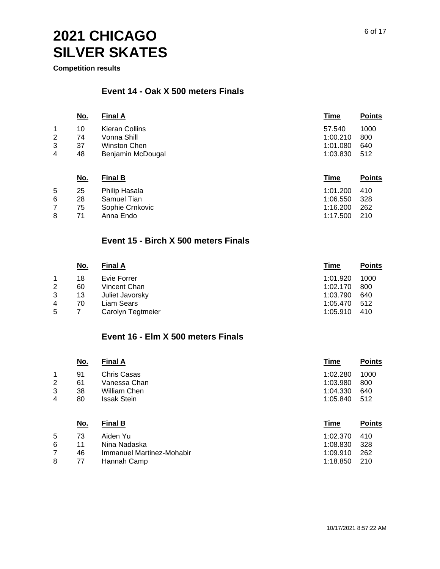**Competition results**

#### **Event 14 - Oak X 500 meters Finals**

|   | <u>No.</u> | <b>Final A</b>    | Time     | <b>Points</b> |
|---|------------|-------------------|----------|---------------|
| 1 | 10         | Kieran Collins    | 57.540   | 1000          |
| 2 | 74         | Vonna Shill       | 1:00.210 | 800           |
| 3 | 37         | Winston Chen      | 1:01.080 | 640           |
| 4 | 48         | Benjamin McDougal | 1:03.830 | 512           |
|   |            |                   |          |               |

|   | <u>No.</u> | <b>Final B</b>  | Time     | <b>Points</b> |
|---|------------|-----------------|----------|---------------|
| 5 | 25         | Philip Hasala   | 1:01.200 | -410          |
| 6 | 28         | Samuel Tian     | 1:06.550 | - 328         |
|   | 75         | Sophie Crnkovic | 1:16.200 | - 262         |
| 8 | 71         | Anna Endo       | 1:17.500 | 210           |

#### **Event 15 - Birch X 500 meters Finals**

|                | <u>No.</u> | <b>Final A</b>    | Time     | <b>Points</b> |
|----------------|------------|-------------------|----------|---------------|
|                | 18         | Evie Forrer       | 1:01.920 | 1000          |
| $\overline{2}$ | 60         | Vincent Chan      | 1:02.170 | 800           |
| 3              | 13         | Juliet Javorsky   | 1:03.790 | 640           |
| 4              | 70         | Liam Sears        | 1:05.470 | -512          |
| 5              |            | Carolyn Tegtmeier | 1:05.910 | 410           |

#### **Event 16 - Elm X 500 meters Finals**

|                | <u>No.</u> | <b>Final A</b>            | <b>Time</b> | <b>Points</b> |
|----------------|------------|---------------------------|-------------|---------------|
| 1              | 91         | <b>Chris Casas</b>        | 1:02.280    | 1000          |
| $\overline{2}$ | 61         | Vanessa Chan              | 1:03.980    | 800           |
| 3              | 38         | William Chen              | 1:04.330    | 640           |
| 4              | 80         | <b>Issak Stein</b>        | 1:05.840    | 512           |
|                | <u>No.</u> | <b>Final B</b>            | <b>Time</b> | <b>Points</b> |
| 5              | 73         | Aiden Yu                  | 1:02.370    | 410           |
| 6              | 11         | Nina Nadaska              | 1:08.830    | 328           |
| 7              | 46         | Immanuel Martinez-Mohabir | 1:09.910    | 262           |
| 8              | 77         | Hannah Camp               | 1:18.850    | 210           |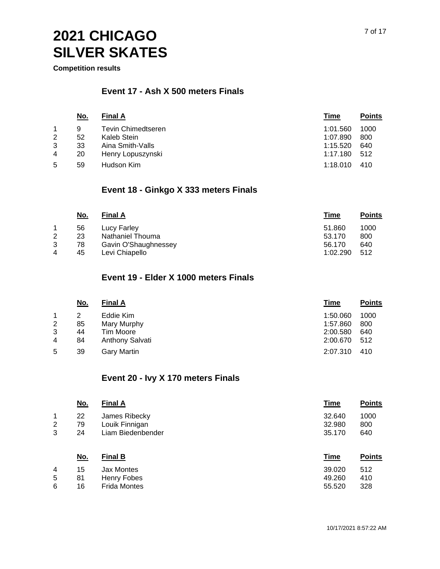**Competition results**

#### **Event 17 - Ash X 500 meters Finals**

|                | No. | <b>Final A</b>            | Time     | <b>Points</b> |
|----------------|-----|---------------------------|----------|---------------|
|                | 9   | <b>Tevin Chimedtseren</b> | 1:01.560 | 1000          |
| $\overline{2}$ | 52  | Kaleb Stein               | 1:07.890 | 800           |
| 3              | 33  | Aina Smith-Valls          | 1:15.520 | 640           |
| 4              | 20  | Henry Lopuszynski         | 1:17.180 | -512          |
| 5              | 59  | Hudson Kim                | 1:18.010 | 410           |

#### **Event 18 - Ginkgo X 333 meters Finals**

|                | <u>No.</u> | <b>Final A</b>       | Time     | <b>Points</b> |
|----------------|------------|----------------------|----------|---------------|
|                | 56         | Lucy Farley          | 51.860   | 1000          |
| $\overline{2}$ | 23         | Nathaniel Thouma     | 53.170   | 800           |
| 3              | 78         | Gavin O'Shaughnessey | 56.170   | 640           |
| $\overline{4}$ | 45         | Levi Chiapello       | 1:02.290 | 512           |

#### **Event 19 - Elder X 1000 meters Finals**

|                | <u>No.</u> | <b>Final A</b>     | Time     | <b>Points</b> |
|----------------|------------|--------------------|----------|---------------|
|                |            | Eddie Kim          | 1:50.060 | 1000          |
| $\overline{2}$ | 85         | Mary Murphy        | 1:57.860 | 800           |
| 3              | 44         | Tim Moore          | 2:00.580 | 640           |
| $\overline{4}$ | 84         | Anthony Salvati    | 2:00.670 | 512           |
| 5              | 39         | <b>Gary Martin</b> | 2:07.310 | 410           |

#### **Event 20 - Ivy X 170 meters Finals**

|             | <u>No.</u>     | <b>Final A</b>                                       | <b>Time</b>                | <b>Points</b>      |
|-------------|----------------|------------------------------------------------------|----------------------------|--------------------|
| 1<br>2<br>3 | 22<br>79<br>24 | James Ribecky<br>Louik Finnigan<br>Liam Biedenbender | 32.640<br>32.980<br>35.170 | 1000<br>800<br>640 |
|             | <u>No.</u>     | <b>Final B</b>                                       | <b>Time</b>                | <b>Points</b>      |
| 4<br>5      | 15<br>81       | Jax Montes<br>Henry Fobes                            | 39.020<br>49.260           | 512<br>410         |
| 6           | 16             | <b>Frida Montes</b>                                  | 55.520                     | 328                |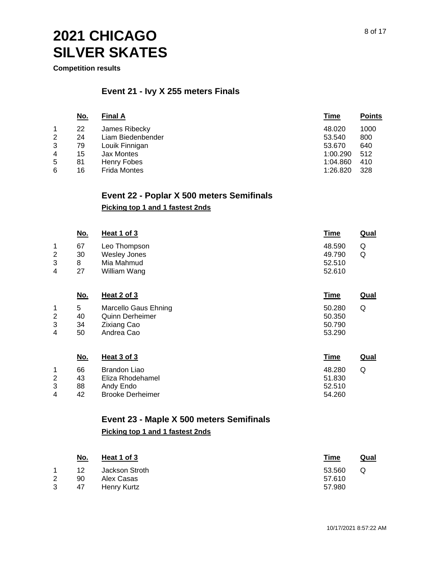**Competition results**

#### **Event 21 - Ivy X 255 meters Finals**

|   | <u>No.</u> | <b>Final A</b>      | Time     | <b>Points</b> |
|---|------------|---------------------|----------|---------------|
|   | 22         | James Ribecky       | 48.020   | 1000          |
| 2 | 24         | Liam Biedenbender   | 53.540   | 800           |
| 3 | 79         | Louik Finnigan      | 53.670   | 640           |
| 4 | 15         | Jax Montes          | 1:00.290 | 512           |
| 5 | 81         | Henry Fobes         | 1:04.860 | 410           |
| 6 | 16         | <b>Frida Montes</b> | 1:26.820 | 328           |

#### **Event 22 - Poplar X 500 meters Semifinals**

#### **Picking top 1 and 1 fastest 2nds**

| <u>No.</u> | Heat 1 of 3         | <u>Time</u> | <b>Qual</b> |
|------------|---------------------|-------------|-------------|
| 67         | Leo Thompson        | 48.590      | Q           |
| 30         | <b>Wesley Jones</b> | 49.790      | Q           |
| 8          | Mia Mahmud          | 52.510      |             |
| 27         | William Wang        | 52.610      |             |
|            |                     |             |             |

|   | <u>No.</u> | Heat 2 of 3            | Time   | Qual |
|---|------------|------------------------|--------|------|
|   | 5          | Marcello Gaus Ehning   | 50.280 | Q    |
| 2 | 40         | <b>Quinn Derheimer</b> | 50.350 |      |
| 3 | 34         | Zixiang Cao            | 50.790 |      |
| 4 | 50         | Andrea Cao             | 53.290 |      |
|   |            |                        |        |      |

|   | <u>No.</u> | Heat 3 of 3             | <u>Time</u> | Qual |
|---|------------|-------------------------|-------------|------|
|   | 66         | Brandon Liao            | 48.280      | Q    |
|   | 43         | Eliza Rhodehamel        | 51.830      |      |
| 3 | 88         | Andy Endo               | 52.510      |      |
| 4 | 42         | <b>Brooke Derheimer</b> | 54.260      |      |

## **Event 23 - Maple X 500 meters Semifinals**

#### **Picking top 1 and 1 fastest 2nds**

|                | <u>No.</u> | Heat 1 of 3    | <u>Time</u> | <u>Qual</u> |
|----------------|------------|----------------|-------------|-------------|
|                | 12         | Jackson Stroth | 53.560      | Q           |
| $\overline{2}$ | 90         | Alex Casas     | 57.610      |             |
|                | 47         | Henry Kurtz    | 57.980      |             |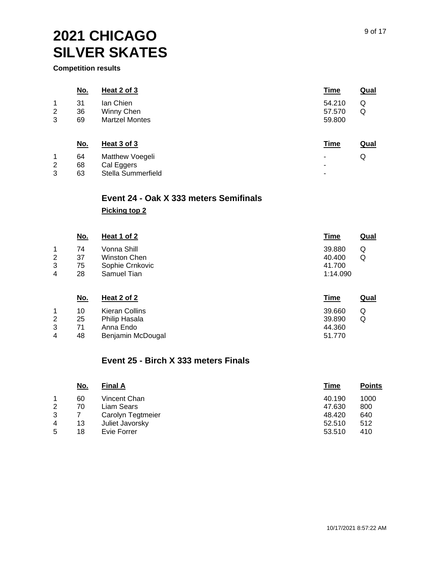**Competition results**

|                                    | <u>No.</u>     | Heat 2 of 3                                         | <u>Time</u>                | <b>Qual</b> |
|------------------------------------|----------------|-----------------------------------------------------|----------------------------|-------------|
| 1<br>$\overline{2}$<br>3           | 31<br>36<br>69 | lan Chien<br>Winny Chen<br><b>Martzel Montes</b>    | 54.210<br>57.570<br>59.800 | Q<br>Q      |
|                                    | <u>No.</u>     | Heat 3 of 3                                         | <b>Time</b>                | <b>Qual</b> |
| $\mathbf 1$<br>$\overline{2}$<br>3 | 64<br>68<br>63 | Matthew Voegeli<br>Cal Eggers<br>Stella Summerfield | ٠<br>٠<br>-                | Q           |

#### **Event 24 - Oak X 333 meters Semifinals Picking top 2**

|                | <u>No.</u> | Heat 1 of 2     | <u>Time</u> | <b>Qual</b> |
|----------------|------------|-----------------|-------------|-------------|
| 1              | 74         | Vonna Shill     | 39.880<br>Q |             |
| $\overline{2}$ | 37         | Winston Chen    | 40.400<br>Q |             |
| 3              | 75         | Sophie Crnkovic | 41.700      |             |
| 4              | 28         | Samuel Tian     | 1:14.090    |             |

| <u>No.</u> | Heat 2 of 2       | Time   | <u>Qual</u> |
|------------|-------------------|--------|-------------|
| 10         | Kieran Collins    | 39.660 | Q           |
| 25         | Philip Hasala     | 39.890 | Q           |
| 71         | Anna Endo         | 44.360 |             |
| 48         | Benjamin McDougal | 51.770 |             |
|            |                   |        |             |

#### **Event 25 - Birch X 333 meters Finals**

| <u>No.</u> | <b>Final A</b>    | <b>Time</b> | <b>Points</b> |
|------------|-------------------|-------------|---------------|
| 60         | Vincent Chan      | 40.190      | 1000          |
| 70         | Liam Sears        | 47.630      | 800           |
|            | Carolyn Tegtmeier | 48.420      | 640           |
| 13         | Juliet Javorsky   | 52.510      | 512           |
| 18         | Evie Forrer       | 53.510      | 410           |
|            |                   |             |               |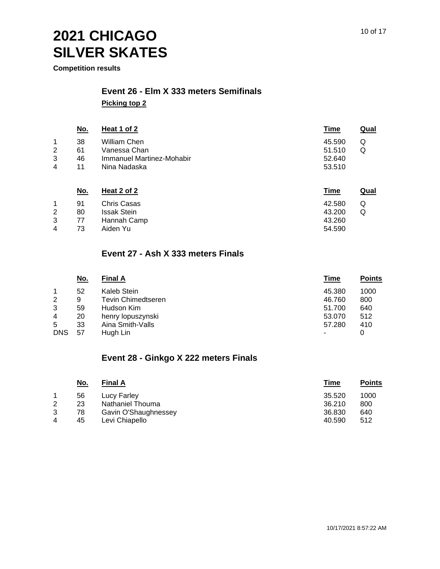**Competition results**

## **Event 26 - Elm X 333 meters Semifinals**

**Picking top 2**

|                         | <u>No.</u> | Heat 1 of 2               | Time   | Qual |
|-------------------------|------------|---------------------------|--------|------|
| $\mathbf{1}$            | 38         | William Chen              | 45.590 | Q    |
| $\overline{2}$          | 61         | Vanessa Chan              | 51.510 | Q    |
| 3                       | 46         | Immanuel Martinez-Mohabir | 52.640 |      |
| $\overline{\mathbf{4}}$ | 11         | Nina Nadaska              | 53.510 |      |
|                         | No.        | Heat 2 of 2               | Time   | Qual |

|             | .91 | Chris Casas        | 42.580 | Q |
|-------------|-----|--------------------|--------|---|
| 2           | 80  | <b>Issak Stein</b> | 43.200 | Q |
| 3           | 77  | Hannah Camp        | 43.260 |   |
| $\mathbf 4$ | -73 | Aiden Yu           | 54.590 |   |

#### **Event 27 - Ash X 333 meters Finals**

|                | No. | <b>Final A</b>     | Time   | <b>Points</b> |
|----------------|-----|--------------------|--------|---------------|
|                | 52  | Kaleb Stein        | 45.380 | 1000          |
| 2              | 9   | Tevin Chimedtseren | 46.760 | 800           |
| 3              | 59  | Hudson Kim         | 51.700 | 640           |
| $\overline{4}$ | 20  | henry lopuszynski  | 53,070 | 512           |
| 5              | 33  | Aina Smith-Valls   | 57.280 | 410           |
| <b>DNS</b>     | 57  | Hugh Lin           |        |               |

#### **Event 28 - Ginkgo X 222 meters Finals**

| <u>No.</u> | <b>Final A</b>       | Time   | <b>Points</b> |
|------------|----------------------|--------|---------------|
| 56         | Lucy Farley          | 35.520 | 1000          |
| 23         | Nathaniel Thouma     | 36.210 | 800           |
| 78         | Gavin O'Shaughnessey | 36.830 | 640           |
| 45         | Levi Chiapello       | 40.590 | 512           |
|            |                      |        |               |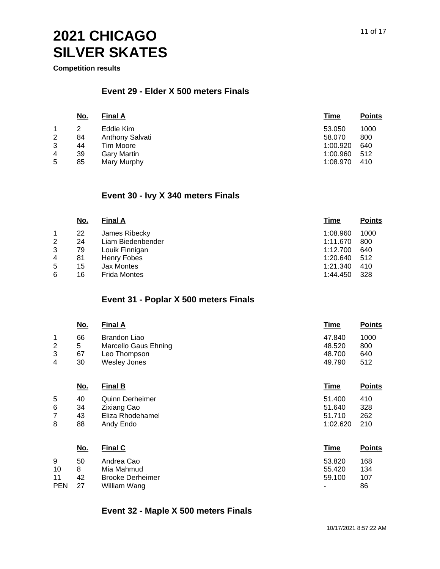**Competition results**

#### **Event 29 - Elder X 500 meters Finals**

|                | <u>No.</u> | <b>Final A</b>     | Time     | <b>Points</b> |
|----------------|------------|--------------------|----------|---------------|
|                |            | Eddie Kim          | 53.050   | 1000          |
| $\overline{2}$ | 84         | Anthony Salvati    | 58,070   | 800           |
| 3              | 44         | Tim Moore          | 1:00.920 | 640           |
| 4              | 39         | <b>Gary Martin</b> | 1:00.960 | 512           |
| 5              | 85         | Mary Murphy        | 1:08.970 | 410           |

#### **Event 30 - Ivy X 340 meters Finals**

|                | <u>No.</u> | <b>Final A</b>      | Time     | <b>Points</b> |
|----------------|------------|---------------------|----------|---------------|
|                | 22         | James Ribecky       | 1:08.960 | 1000          |
| $\overline{2}$ | 24         | Liam Biedenbender   | 1:11.670 | 800           |
| 3              | 79         | Louik Finnigan      | 1:12.700 | 640           |
| $\overline{4}$ | 81         | Henry Fobes         | 1:20.640 | 512           |
| 5              | 15         | Jax Montes          | 1:21.340 | 410           |
| 6              | 16         | <b>Frida Montes</b> | 1:44.450 | 328           |

### **Event 31 - Poplar X 500 meters Finals**

| <u>No.</u> | <b>Final A</b> | Time                 | <b>Points</b> |
|------------|----------------|----------------------|---------------|
| 66         | Brandon Liao   | 47.840               | 1000          |
| 5          |                | 48.520               | 800           |
| 67         | Leo Thompson   | 48.700               | 640           |
| 30         | Wesley Jones   | 49.790               | 512           |
|            |                | Marcello Gaus Ehning |               |

|   | <u>No.</u> | <b>Final B</b>         | <b>Time</b> | <b>Points</b> |
|---|------------|------------------------|-------------|---------------|
| 5 | 40         | <b>Quinn Derheimer</b> | 51.400      | 410           |
| 6 | 34         | Zixiang Cao            | 51.640      | 328           |
|   | 43         | Eliza Rhodehamel       | 51.710      | 262           |
| 8 | 88         | Andy Endo              | 1:02.620    | 210           |
|   |            |                        |             |               |

|            | <u>No.</u> | <b>Final C</b>          | Time   | <b>Points</b> |
|------------|------------|-------------------------|--------|---------------|
| 9          | 50         | Andrea Cao              | 53.820 | 168           |
| 10         | 8          | Mia Mahmud              | 55.420 | 134           |
| 11         | 42         | <b>Brooke Derheimer</b> | 59.100 | 107           |
| <b>PEN</b> | 27         | William Wang            | ٠      | 86            |

#### **Event 32 - Maple X 500 meters Finals**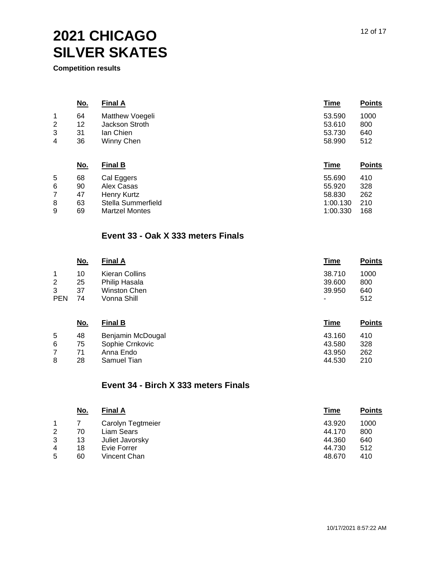**Competition results**

|                | <u>No.</u> | <b>Final A</b>        | <b>Time</b> | <b>Points</b> |
|----------------|------------|-----------------------|-------------|---------------|
| $\mathbf 1$    | 64         | Matthew Voegeli       | 53.590      | 1000          |
| $\overline{2}$ | 12         | Jackson Stroth        | 53.610      | 800           |
| 3              | 31         | lan Chien             | 53.730      | 640           |
| 4              | 36         | Winny Chen            | 58.990      | 512           |
|                | <u>No.</u> | <b>Final B</b>        | <b>Time</b> | <b>Points</b> |
| 5              | 68         | Cal Eggers            | 55.690      | 410           |
| 6              | 90         | Alex Casas            | 55.920      | 328           |
| 7              | 47         | Henry Kurtz           | 58.830      | 262           |
| 8              | 63         | Stella Summerfield    | 1:00.130    | 210           |
| 9              | 69         | <b>Martzel Montes</b> | 1:00.330    | 168           |

#### **Event 33 - Oak X 333 meters Finals**

|            | <u>No.</u> | <b>Final A</b> | Time   | <b>Points</b> |
|------------|------------|----------------|--------|---------------|
|            | 10         | Kieran Collins | 38.710 | 1000          |
| 2          | 25         | Philip Hasala  | 39,600 | 800           |
| 3          | 37         | Winston Chen   | 39.950 | 640           |
| <b>PEN</b> | 74         | Vonna Shill    | ۰      | 512           |

|   | <u>No.</u> | <b>Final B</b>    | Time   | <b>Points</b> |
|---|------------|-------------------|--------|---------------|
| 5 | 48         | Benjamin McDougal | 43.160 | 410           |
| 6 | 75         | Sophie Crnkovic   | 43.580 | 328           |
|   | 71         | Anna Endo         | 43.950 | 262           |
| 8 | 28         | Samuel Tian       | 44.530 | 210           |

#### **Event 34 - Birch X 333 meters Finals**

| <u>No.</u> | <b>Final A</b>    | Time   | <b>Points</b> |
|------------|-------------------|--------|---------------|
|            | Carolyn Tegtmeier | 43.920 | 1000          |
| 70         | Liam Sears        | 44.170 | 800           |
| 13         | Juliet Javorsky   | 44.360 | 640           |
| 18         | Evie Forrer       | 44.730 | 512           |
| 60         | Vincent Chan      | 48.670 | 410           |
|            |                   |        |               |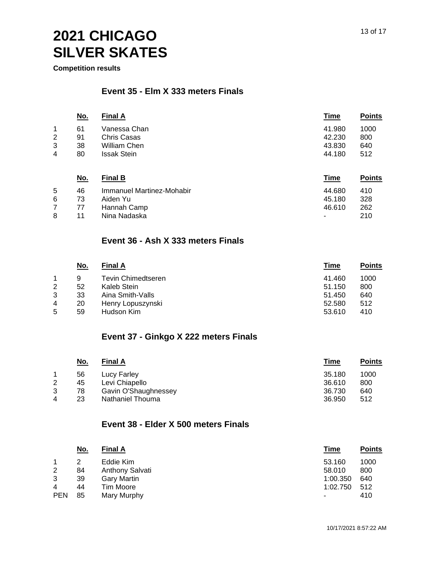**Competition results**

#### **Event 35 - Elm X 333 meters Finals**

| <u>No.</u> | <b>Final A</b>     | Time   | <b>Points</b> |
|------------|--------------------|--------|---------------|
| 61         | Vanessa Chan       | 41.980 | 1000          |
| 91         | Chris Casas        | 42.230 | 800           |
| 38         | William Chen       | 43.830 | 640           |
| 80         | <b>Issak Stein</b> | 44.180 | 512           |
|            |                    |        |               |

|   | <u>No.</u> | <b>Final B</b>            | Time                     | <b>Points</b> |
|---|------------|---------------------------|--------------------------|---------------|
| 5 | 46         | Immanuel Martinez-Mohabir | 44.680                   | 410           |
| 6 | 73         | Aiden Yu                  | 45.180                   | 328           |
|   | 77         | Hannah Camp               | 46.610                   | 262           |
| 8 | 11         | Nina Nadaska              | $\overline{\phantom{0}}$ | 210           |

#### **Event 36 - Ash X 333 meters Finals**

|   | <u>No.</u> | <b>Final A</b>     | Time   | <b>Points</b> |
|---|------------|--------------------|--------|---------------|
|   | 9          | Tevin Chimedtseren | 41.460 | 1000          |
| 2 | 52         | Kaleb Stein        | 51.150 | 800           |
| 3 | 33         | Aina Smith-Valls   | 51.450 | 640           |
| 4 | 20         | Henry Lopuszynski  | 52.580 | 512           |
| 5 | 59         | Hudson Kim         | 53.610 | 410           |

#### **Event 37 - Ginkgo X 222 meters Finals**

|   | <u>No.</u> | <b>Final A</b>       | Time   | <b>Points</b> |
|---|------------|----------------------|--------|---------------|
|   | 56         | Lucy Farley          | 35.180 | 1000          |
| 2 | 45         | Levi Chiapello       | 36.610 | 800           |
| 3 | 78         | Gavin O'Shaughnessey | 36.730 | 640           |
| 4 | 23         | Nathaniel Thouma     | 36.950 | 512           |

#### **Event 38 - Elder X 500 meters Finals**

|                | <u>No.</u> | <b>Final A</b>     | Time     | <b>Points</b> |
|----------------|------------|--------------------|----------|---------------|
|                |            | Eddie Kim          | 53.160   | 1000          |
| $\overline{2}$ | 84         | Anthony Salvati    | 58.010   | 800           |
| 3              | 39         | <b>Gary Martin</b> | 1:00.350 | 640           |
| $\overline{4}$ | 44         | Tim Moore          | 1:02.750 | 512           |
| <b>PEN</b>     | 85         | Mary Murphy        |          | 410           |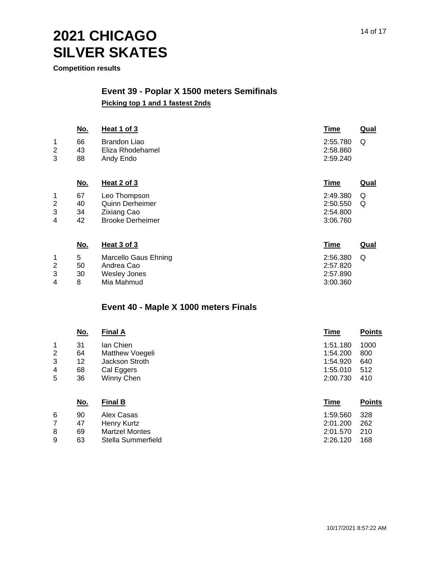**Competition results**

#### **Event 39 - Poplar X 1500 meters Semifinals Picking top 1 and 1 fastest 2nds**

|                  | <u>No.</u>           | Heat 1 of 3                                                                      | <b>Time</b>                                  | <b>Qual</b> |
|------------------|----------------------|----------------------------------------------------------------------------------|----------------------------------------------|-------------|
| 1<br>2<br>3      | 66<br>43<br>88       | <b>Brandon Liao</b><br>Eliza Rhodehamel<br>Andy Endo                             | 2:55.780<br>2:58.860<br>2:59.240             | Q           |
|                  | <u>No.</u>           | <b>Heat 2 of 3</b>                                                               | <b>Time</b>                                  | <b>Qual</b> |
| 1<br>2<br>3<br>4 | 67<br>40<br>34<br>42 | Leo Thompson<br>Quinn Derheimer<br><b>Zixiang Cao</b><br><b>Brooke Derheimer</b> | 2:49.380<br>2:50.550<br>2:54.800<br>3:06.760 | Q<br>Q      |
|                  | <u>No.</u>           | Heat 3 of 3                                                                      | <b>Time</b>                                  | Qual        |
| 1<br>2<br>3<br>4 | 5<br>50<br>30<br>8   | <b>Marcello Gaus Ehning</b><br>Andrea Cao<br><b>Wesley Jones</b><br>Mia Mahmud   | 2:56.380<br>2:57.820<br>2:57.890<br>3:00.360 | Q           |

#### **Event 40 - Maple X 1000 meters Finals**

|        | <u>No.</u> | <b>Final A</b>               | <b>Time</b>          | <b>Points</b> |
|--------|------------|------------------------------|----------------------|---------------|
| 1<br>2 | 31<br>64   | lan Chien<br>Matthew Voegeli | 1:51.180<br>1:54.200 | 1000<br>800   |
| 3      | 12         | Jackson Stroth               | 1:54.920             | 640           |
| 4      | 68         | Cal Eggers                   | 1:55.010             | 512           |
| 5      | 36         | Winny Chen                   | 2:00.730             | 410           |
|        | <u>No.</u> | <b>Final B</b>               | <b>Time</b>          | <b>Points</b> |
| 6      | 90         | Alex Casas                   | 1:59.560             | 328           |
| 7      | 47         | Henry Kurtz                  | 2:01.200             | 262           |
| 8      | 69         | <b>Martzel Montes</b>        | 2:01.570             | 210           |
| 9      | 63         | Stella Summerfield           | 2:26.120             | 168           |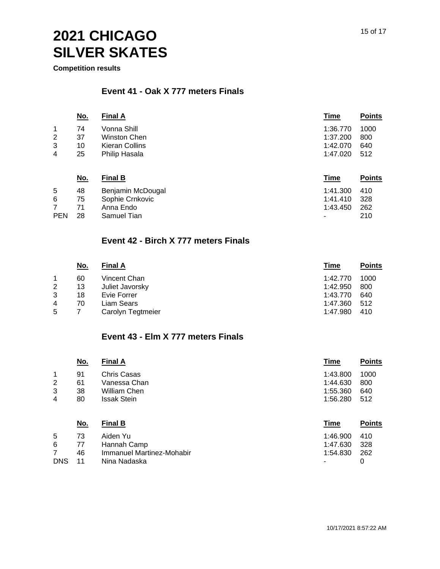**Competition results**

#### **Event 41 - Oak X 777 meters Finals**

|              | <u>No.</u> | <b>Final A</b> | Time     | <b>Points</b> |
|--------------|------------|----------------|----------|---------------|
| 1            | 74         | Vonna Shill    | 1:36.770 | 1000          |
| $\mathbf{2}$ | 37         | Winston Chen   | 1:37.200 | 800           |
| 3            | 10         | Kieran Collins | 1:42.070 | 640           |
| 4            | 25         | Philip Hasala  | 1:47.020 | -512          |

|            | <u>No.</u> | <b>Final B</b>    | Time     | <b>Points</b> |
|------------|------------|-------------------|----------|---------------|
| 5          | 48         | Benjamin McDougal | 1:41.300 | 410           |
| 6          | 75         | Sophie Crnkovic   | 1:41.410 | -328          |
|            | 71         | Anna Endo         | 1:43.450 | 262           |
| <b>PEN</b> | 28         | Samuel Tian       | $\sim$   | 210           |

#### **Event 42 - Birch X 777 meters Finals**

|                | <u>No.</u> | <b>Final A</b>    | Time     | <b>Points</b> |
|----------------|------------|-------------------|----------|---------------|
|                | 60         | Vincent Chan      | 1:42.770 | 1000          |
| $\overline{2}$ | 13         | Juliet Javorsky   | 1:42.950 | 800           |
| 3              | 18         | Evie Forrer       | 1:43.770 | 640           |
| 4              | 70         | Liam Sears        | 1:47.360 | 512           |
| 5              |            | Carolyn Tegtmeier | 1:47.980 | 410           |

#### **Event 43 - Elm X 777 meters Finals**

|                | <u>No.</u> | <b>Final A</b>            | <b>Time</b> | <b>Points</b> |
|----------------|------------|---------------------------|-------------|---------------|
| 1              | 91         | Chris Casas               | 1:43.800    | 1000          |
| $\overline{2}$ | 61         | Vanessa Chan              | 1:44.630    | 800           |
| 3              | 38         | William Chen              | 1:55.360    | 640           |
| 4              | 80         | <b>Issak Stein</b>        | 1:56.280    | 512           |
|                | <u>No.</u> | <b>Final B</b>            | <b>Time</b> | <b>Points</b> |
| 5              | 73         | Aiden Yu                  | 1:46.900    | 410           |
| 6              | 77         | Hannah Camp               | 1:47.630    | 328           |
| $\overline{7}$ | 46         | Immanuel Martinez-Mohabir | 1:54.830    | 262           |
| <b>DNS</b>     | 11         | Nina Nadaska              |             | 0             |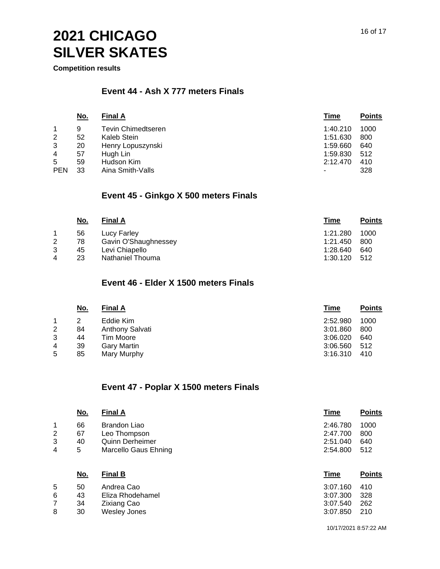**Competition results**

#### **Event 44 - Ash X 777 meters Finals**

|                | <u>No.</u> | <b>Final A</b>            | Time     | <b>Points</b> |
|----------------|------------|---------------------------|----------|---------------|
|                | 9          | <b>Tevin Chimedtseren</b> | 1:40.210 | 1000          |
| $\overline{2}$ | 52         | Kaleb Stein               | 1:51.630 | 800           |
| 3              | 20         | Henry Lopuszynski         | 1:59.660 | 640           |
| $\overline{4}$ | 57         | Hugh Lin                  | 1:59.830 | 512           |
| 5              | 59         | Hudson Kim                | 2:12.470 | 410           |
| <b>PEN</b>     | 33         | Aina Smith-Valls          |          | 328           |

#### **Event 45 - Ginkgo X 500 meters Finals**

|   | <u>No.</u> | <b>Final A</b>       | Time     | <b>Points</b> |
|---|------------|----------------------|----------|---------------|
|   | 56         | Lucy Farley          | 1:21.280 | 1000          |
| 2 | 78         | Gavin O'Shaughnessey | 1:21.450 | 800           |
| 3 | 45         | Levi Chiapello       | 1:28.640 | 640           |
| 4 | 23         | Nathaniel Thouma     | 1:30.120 | - 512         |

#### **Event 46 - Elder X 1500 meters Finals**

|                | <u>No.</u> | <b>Final A</b>  | <u>Time</u> | <b>Points</b> |
|----------------|------------|-----------------|-------------|---------------|
|                |            | Eddie Kim       | 2:52.980    | 1000          |
| $\overline{2}$ | 84         | Anthony Salvati | 3:01.860    | 800           |
| 3              | 44         | Tim Moore       | 3:06.020    | 640           |
| $\overline{4}$ | 39         | Gary Martin     | 3:06.560    | 512           |
| 5              | 85         | Mary Murphy     | 3:16.310    | 410           |

#### **Event 47 - Poplar X 1500 meters Finals**

|   | <u>No.</u> | <b>Final A</b>                     | <b>Time</b> | <b>Points</b> |
|---|------------|------------------------------------|-------------|---------------|
| 1 | 66         | <b>Brandon Liao</b>                | 2:46.780    | 1000          |
| 2 | 67         | Leo Thompson                       | 2:47.700    | 800           |
| 3 | 40         | <b>Quinn Derheimer</b>             | 2:51.040    | 640           |
| 4 | 5          | Marcello Gaus Ehning               | 2:54.800    | 512           |
|   | <u>No.</u> | <b>Final B</b>                     | <b>Time</b> | <b>Points</b> |
|   |            |                                    |             |               |
| 5 | 50         | Andrea Cao                         | 3:07.160    | 410           |
| 6 | 43         | Eliza Rhodehamel                   | 3:07.300    | 328           |
| 7 | 34         |                                    | 3:07.540    | 262           |
| 8 | 30         | Zixiang Cao<br><b>Wesley Jones</b> | 3:07.850    | 210           |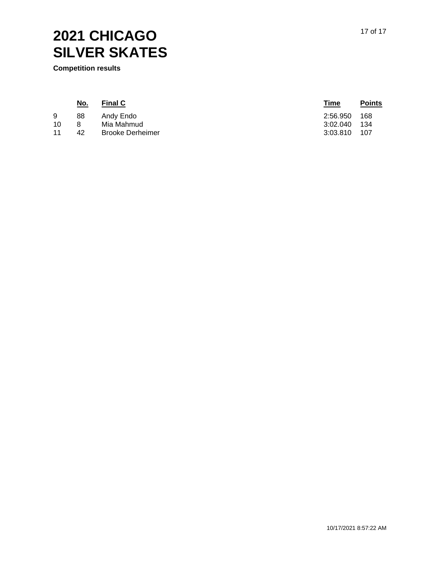**Competition results**

| <u>No.</u> | <b>Final C</b>          | <u>Time</u> | <b>Points</b> |
|------------|-------------------------|-------------|---------------|
| 88         | Andy Endo               | 2:56.950    | 168           |
|            | Mia Mahmud              | 3:02.040    | - 134         |
| 42         | <b>Brooke Derheimer</b> | 3:03.810    | 107           |
|            |                         |             |               |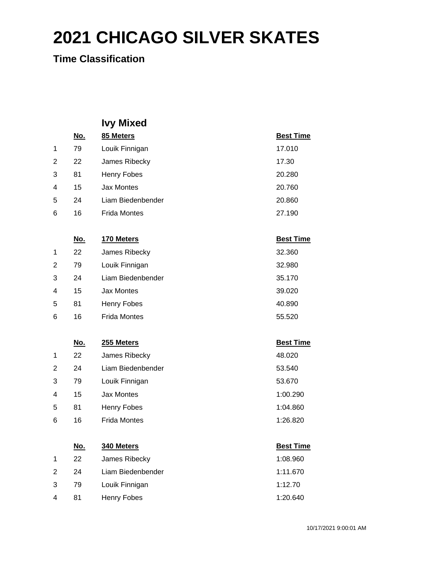**Time Classification**

|                |            | <b>Ivy Mixed</b>    |                  |
|----------------|------------|---------------------|------------------|
|                | <u>No.</u> | 85 Meters           | <b>Best Time</b> |
| 1              | 79         | Louik Finnigan      | 17.010           |
| 2              | 22         | James Ribecky       | 17.30            |
| 3              | 81         | <b>Henry Fobes</b>  | 20.280           |
| 4              | 15         | <b>Jax Montes</b>   | 20.760           |
| 5              | 24         | Liam Biedenbender   | 20.860           |
| 6              | 16         | <b>Frida Montes</b> | 27.190           |
|                |            |                     |                  |
|                | <u>No.</u> | 170 Meters          | <b>Best Time</b> |
| 1              | 22         | James Ribecky       | 32.360           |
| 2              | 79         | Louik Finnigan      | 32.980           |
| 3              | 24         | Liam Biedenbender   | 35.170           |
| 4              | 15         | <b>Jax Montes</b>   | 39.020           |
| 5              | 81         | Henry Fobes         | 40.890           |
| 6              | 16         | <b>Frida Montes</b> | 55.520           |
|                |            |                     |                  |
|                | <u>No.</u> | 255 Meters          | <b>Best Time</b> |
| 1              | 22         | James Ribecky       | 48.020           |
| 2              | 24         | Liam Biedenbender   | 53.540           |
| 3              | 79         | Louik Finnigan      | 53.670           |
| 4              | 15         | <b>Jax Montes</b>   | 1:00.290         |
| 5              | 81         | Henry Fobes         | 1:04.860         |
| 6              | 16         | <b>Frida Montes</b> | 1:26.820         |
|                |            |                     |                  |
|                | <u>No.</u> | 340 Meters          | <b>Best Time</b> |
| 1              | 22         | James Ribecky       | 1:08.960         |
| $\overline{2}$ | 24         | Liam Biedenbender   | 1:11.670         |
| 3              | 79         | Louik Finnigan      | 1:12.70          |
| 4              | 81         | Henry Fobes         | 1:20.640         |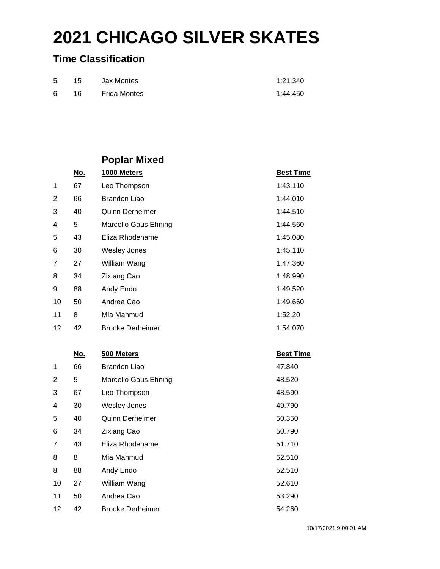### **Time Classification**

| 5 <sup>5</sup> | 15     | Jax Montes   | 1:21.340 |
|----------------|--------|--------------|----------|
| 6.             | - 16 - | Frida Montes | 1:44.450 |

## **Poplar Mixed**

|                | <u>No.</u> | 1000 Meters             | <b>Best Time</b> |
|----------------|------------|-------------------------|------------------|
| 1              | 67         | Leo Thompson            | 1:43.110         |
| 2              | 66         | Brandon Liao            | 1:44.010         |
| 3              | 40         | <b>Quinn Derheimer</b>  | 1:44.510         |
| 4              | 5          | Marcello Gaus Ehning    | 1:44.560         |
| 5              | 43         | Eliza Rhodehamel        | 1:45.080         |
| 6              | 30         | <b>Wesley Jones</b>     | 1:45.110         |
| 7              | 27         | William Wang            | 1:47.360         |
| 8              | 34         | <b>Zixiang Cao</b>      | 1:48.990         |
| 9              | 88         | Andy Endo               | 1:49.520         |
| 10             | 50         | Andrea Cao              | 1:49.660         |
| 11             | 8          | Mia Mahmud              | 1:52.20          |
| 12             | 42         | <b>Brooke Derheimer</b> | 1:54.070         |
|                |            |                         |                  |
|                | <u>No.</u> | 500 Meters              | <b>Best Time</b> |
| 1              | 66         | <b>Brandon Liao</b>     | 47.840           |
| $\overline{2}$ | 5          | Marcello Gaus Ehning    | 48.520           |
| 3              | 67         | Leo Thompson            | 48.590           |

| 3  | 67 | Leo Thompson            | 48.590 |
|----|----|-------------------------|--------|
| 4  | 30 | <b>Wesley Jones</b>     | 49.790 |
| 5. | 40 | <b>Quinn Derheimer</b>  | 50.350 |
| 6  | 34 | <b>Zixiang Cao</b>      | 50.790 |
| 7  | 43 | Eliza Rhodehamel        | 51.710 |
| 8  | 8  | Mia Mahmud              | 52.510 |
| 8  | 88 | Andy Endo               | 52.510 |
| 10 | 27 | William Wang            | 52.610 |
| 11 | 50 | Andrea Cao              | 53.290 |
| 12 | 42 | <b>Brooke Derheimer</b> | 54.260 |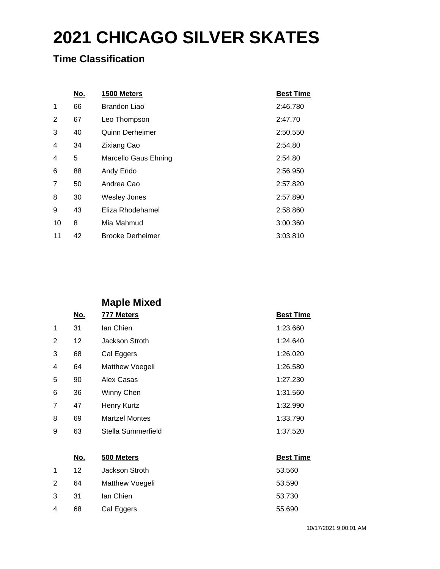### **Time Classification**

|    | No. | 1500 Meters             | <b>Best Time</b> |
|----|-----|-------------------------|------------------|
| 1  | 66  | Brandon Liao            | 2:46.780         |
| 2  | 67  | Leo Thompson            | 2:47.70          |
| 3  | 40  | Quinn Derheimer         | 2:50.550         |
| 4  | 34  | <b>Zixiang Cao</b>      | 2:54.80          |
| 4  | 5   | Marcello Gaus Ehning    | 2:54.80          |
| 6  | 88  | Andy Endo               | 2:56.950         |
| 7  | 50  | Andrea Cao              | 2:57.820         |
| 8  | 30  | <b>Wesley Jones</b>     | 2:57.890         |
| 9  | 43  | Eliza Rhodehamel        | 2:58.860         |
| 10 | 8   | Mia Mahmud              | 3:00.360         |
| 11 | 42  | <b>Brooke Derheimer</b> | 3:03.810         |

### **Maple Mixed**

| No. | 777 Meters            | <b>Best Time</b> |
|-----|-----------------------|------------------|
| 31  | lan Chien             | 1:23.660         |
| 12  | Jackson Stroth        | 1:24.640         |
| 68  | Cal Eggers            | 1:26.020         |
| 64  | Matthew Voegeli       | 1:26.580         |
| 90  | Alex Casas            | 1:27.230         |
| 36  | Winny Chen            | 1:31.560         |
| 47  | Henry Kurtz           | 1:32.990         |
| 69  | <b>Martzel Montes</b> | 1:33.790         |
| 63  | Stella Summerfield    | 1:37.520         |
|     |                       |                  |

|                | <u>No.</u> | 500 Meters      | <b>Best Time</b> |
|----------------|------------|-----------------|------------------|
| 1              | 12         | Jackson Stroth  | 53.560           |
| $\overline{2}$ | 64         | Matthew Voegeli | 53.590           |
| 3              | -31        | lan Chien       | 53.730           |
| 4              | 68         | Cal Eggers      | 55.690           |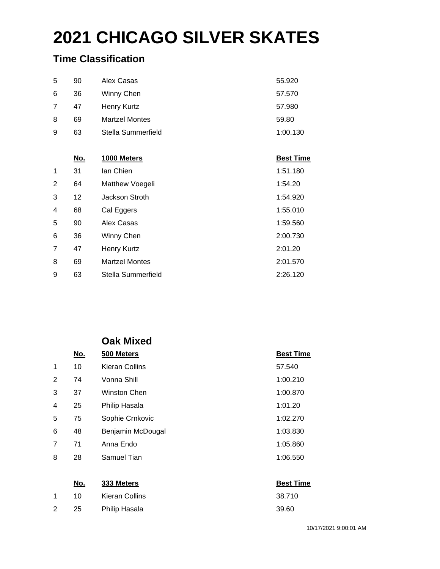### **Time Classification**

| 90 | Alex Casas            | 55.920   |
|----|-----------------------|----------|
| 36 | Winny Chen            | 57.570   |
| 47 | Henry Kurtz           | 57.980   |
| 69 | <b>Martzel Montes</b> | 59.80    |
| 63 | Stella Summerfield    | 1:00.130 |
|    |                       |          |

|                | <u>No.</u> | 1000 Meters           | <b>Best Time</b> |
|----------------|------------|-----------------------|------------------|
| 1              | 31         | Ian Chien             | 1:51.180         |
| 2              | 64         | Matthew Voegeli       | 1:54.20          |
| 3              | 12         | Jackson Stroth        | 1:54.920         |
| $\overline{4}$ | 68         | Cal Eggers            | 1:55.010         |
| 5              | 90         | Alex Casas            | 1:59.560         |
| 6              | 36         | Winny Chen            | 2:00.730         |
| 7              | 47         | Henry Kurtz           | 2:01.20          |
| 8              | 69         | <b>Martzel Montes</b> | 2:01.570         |
| 9              | 63         | Stella Summerfield    | 2:26.120         |

### **Oak Mixed**

| No. | 500 Meters        | <b>Best Time</b> |
|-----|-------------------|------------------|
| 10  | Kieran Collins    | 57.540           |
| 74  | Vonna Shill       | 1:00.210         |
| 37  | Winston Chen      | 1:00.870         |
| 25  | Philip Hasala     | 1:01.20          |
| 75  | Sophie Crnkovic   | 1:02.270         |
| 48  | Benjamin McDougal | 1:03.830         |
| 71  | Anna Endo         | 1:05.860         |
| 28  | Samuel Tian       | 1:06.550         |
|     |                   |                  |

|                | <u>No.</u> | 333 Meters     | <b>Best Time</b> |
|----------------|------------|----------------|------------------|
|                | 10 I       | Kieran Collins | 38.710           |
| $\overline{2}$ | 25         | Philip Hasala  | 39.60            |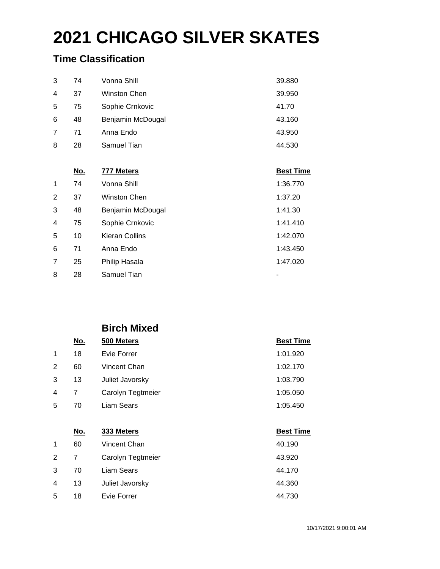### **Time Classification**

|                | <u>No.</u> | 777 Meters        | <b>Best Time</b> |
|----------------|------------|-------------------|------------------|
| 8              | 28         | Samuel Tian       | 44.530           |
| 7              | 71         | Anna Endo         | 43.950           |
| 6              | 48         | Benjamin McDougal | 43.160           |
| 5              | 75         | Sophie Crnkovic   | 41.70            |
| $\overline{4}$ | 37         | Winston Chen      | 39.950           |
| 3              | 74         | Vonna Shill       | 39.880           |

| 1              | 74 | Vonna Shill           | 1:36.770 |
|----------------|----|-----------------------|----------|
| 2              | 37 | Winston Chen          | 1:37.20  |
| 3              | 48 | Benjamin McDougal     | 1:41.30  |
| $\overline{4}$ | 75 | Sophie Crnkovic       | 1:41.410 |
| 5              | 10 | <b>Kieran Collins</b> | 1:42.070 |
| 6              | 71 | Anna Endo             | 1:43.450 |
| 7              | 25 | Philip Hasala         | 1:47.020 |
| 8              | 28 | Samuel Tian           |          |

### **Birch Mixed**

|                | No. | 500 Meters        | <b>Best Time</b> |
|----------------|-----|-------------------|------------------|
| $\mathbf{1}$   | 18  | Evie Forrer       | 1:01.920         |
| 2              | 60  | Vincent Chan      | 1:02.170         |
| 3              | 13  | Juliet Javorsky   | 1:03.790         |
| $\overline{4}$ | 7   | Carolyn Tegtmeier | 1:05.050         |
| 5              | 70  | Liam Sears        | 1:05.450         |
|                |     |                   |                  |

|   | <u>No.</u> | 333 Meters        | <b>Best Time</b> |
|---|------------|-------------------|------------------|
| 1 | 60         | Vincent Chan      | 40.190           |
| 2 | 7          | Carolyn Tegtmeier | 43.920           |
| 3 | 70         | Liam Sears        | 44.170           |
| 4 | 13         | Juliet Javorsky   | 44.360           |
| 5 | 18         | Evie Forrer       | 44.730           |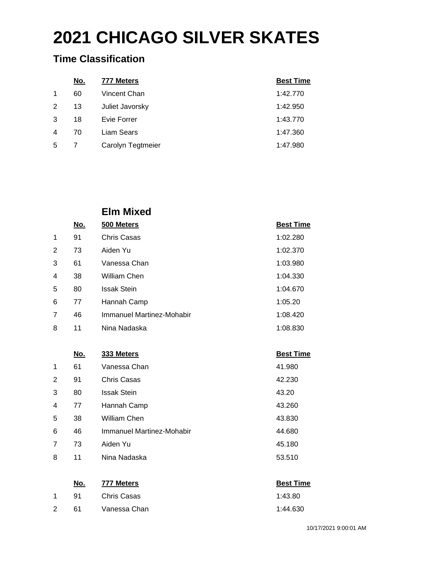### **Time Classification**

|                | <u>No.</u> | 777 Meters        | <b>Best Time</b> |
|----------------|------------|-------------------|------------------|
| 1              | 60         | Vincent Chan      | 1:42.770         |
| 2              | 13         | Juliet Javorsky   | 1:42.950         |
| 3              | 18         | Evie Forrer       | 1:43.770         |
| $\overline{4}$ | 70         | Liam Sears        | 1:47.360         |
| 5              |            | Carolyn Tegtmeier | 1:47.980         |

### **Elm Mixed**

|                | No. | 500 Meters                | <b>Best Time</b> |
|----------------|-----|---------------------------|------------------|
| 1              | 91  | Chris Casas               | 1:02.280         |
| 2              | 73  | Aiden Yu                  | 1:02.370         |
| 3              | 61  | Vanessa Chan              | 1:03.980         |
| $\overline{4}$ | 38  | William Chen              | 1:04.330         |
| 5              | 80  | <b>Issak Stein</b>        | 1:04.670         |
| 6              | 77  | Hannah Camp               | 1:05.20          |
| 7              | 46  | Immanuel Martinez-Mohabir | 1:08.420         |
| 8              | 11  | Nina Nadaska              | 1:08.830         |

### **No. 333 Meters Best Time** 1 61 Vanessa Chan **1 1 and 1**1.980 91 Chris Casas 42.230 80 Issak Stein 43.20 4 77 Hannah Camp 13.260 38 William Chen 43.830 46 Immanuel Martinez-Mohabir 44.680 73 Aiden Yu 45.180 11 Nina Nadaska 53.510

|   | No. | 777 Meters   | <b>Best Time</b> |
|---|-----|--------------|------------------|
|   | 91  | Chris Casas  | 1:43.80          |
| 2 | 61  | Vanessa Chan | 1:44.630         |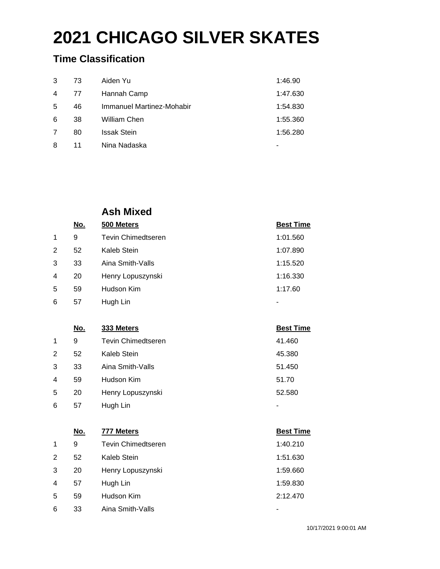### **Time Classification**

| 3              | 73 | Aiden Yu                  | 1:46.90  |
|----------------|----|---------------------------|----------|
| $\overline{4}$ | 77 | Hannah Camp               | 1:47.630 |
| 5              | 46 | Immanuel Martinez-Mohabir | 1:54.830 |
| 6              | 38 | William Chen              | 1:55.360 |
| 7              | 80 | <b>Issak Stein</b>        | 1:56.280 |
| 8              | 11 | Nina Nadaska              |          |

### **Ash Mixed**

|                | <u>No.</u> | 500 Meters                | <b>Best Time</b> |
|----------------|------------|---------------------------|------------------|
| 1              | 9          | <b>Tevin Chimedtseren</b> | 1:01.560         |
| 2              | 52         | Kaleb Stein               | 1:07.890         |
| 3              | 33         | Aina Smith-Valls          | 1:15.520         |
| 4              | 20         | Henry Lopuszynski         | 1:16.330         |
| 5              | 59         | Hudson Kim                | 1:17.60          |
| 6              | 57         | Hugh Lin                  |                  |
|                |            |                           |                  |
|                |            |                           |                  |
|                | No.        | 333 Meters                | <b>Best Time</b> |
| 1              | 9          | <b>Tevin Chimedtseren</b> | 41.460           |
| $\overline{2}$ | 52         | Kaleb Stein               | 45.380           |
| 3              | 33         | Aina Smith-Valls          | 51.450           |
| 4              | 59         | Hudson Kim                | 51.70            |
| 5              | 20         | Henry Lopuszynski         | 52.580           |

#### **No. 777 Meters Best Time**

| 1 | 9  | <b>Tevin Chimedtseren</b> | 1:40.210 |
|---|----|---------------------------|----------|
| 2 | 52 | Kaleb Stein               | 1:51.630 |
| 3 | 20 | Henry Lopuszynski         | 1:59.660 |
| 4 | 57 | Hugh Lin                  | 1:59.830 |
| 5 | 59 | Hudson Kim                | 2:12.470 |
| 6 | 33 | Aina Smith-Valls          |          |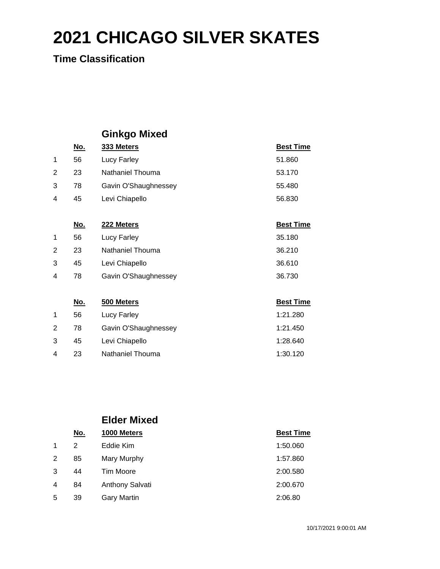**Time Classification**

## **Ginkgo Mixed**

|                | <u>No.</u> | 333 Meters           | <b>Best Time</b> |
|----------------|------------|----------------------|------------------|
| 1              | 56         | Lucy Farley          | 51.860           |
| $\overline{2}$ | 23         | Nathaniel Thouma     | 53.170           |
| 3              | 78         | Gavin O'Shaughnessey | 55.480           |
| 4              | 45         | Levi Chiapello       | 56.830           |
|                |            |                      |                  |
|                | <u>No.</u> | 222 Meters           | <u>Best Time</u> |
| 1              | 56         | Lucy Farley          | 35.180           |
| 2              | 23         | Nathaniel Thouma     | 36.210           |
| 3              | 45         | Levi Chiapello       | 36.610           |
| 4              | 78         | Gavin O'Shaughnessey | 36.730           |
|                |            |                      |                  |
|                | <u>No.</u> | 500 Meters           | <b>Best Time</b> |
| 1              | 56         | Lucy Farley          | 1:21.280         |
| $\overline{2}$ | 78         | Gavin O'Shaughnessey | 1:21.450         |
| 3              | 45         | Levi Chiapello       | 1:28.640         |

|   |            | <b>Elder Mixed</b>     |                  |  |
|---|------------|------------------------|------------------|--|
|   | <u>No.</u> | 1000 Meters            | <b>Best Time</b> |  |
|   | 2          | Eddie Kim              | 1:50.060         |  |
| 2 | 85         | Mary Murphy            | 1:57.860         |  |
| 3 | 44         | <b>Tim Moore</b>       | 2:00.580         |  |
| 4 | 84         | <b>Anthony Salvati</b> | 2:00.670         |  |
| 5 | 39         | Gary Martin            | 2:06.80          |  |

23 Nathaniel Thouma 1:30.120